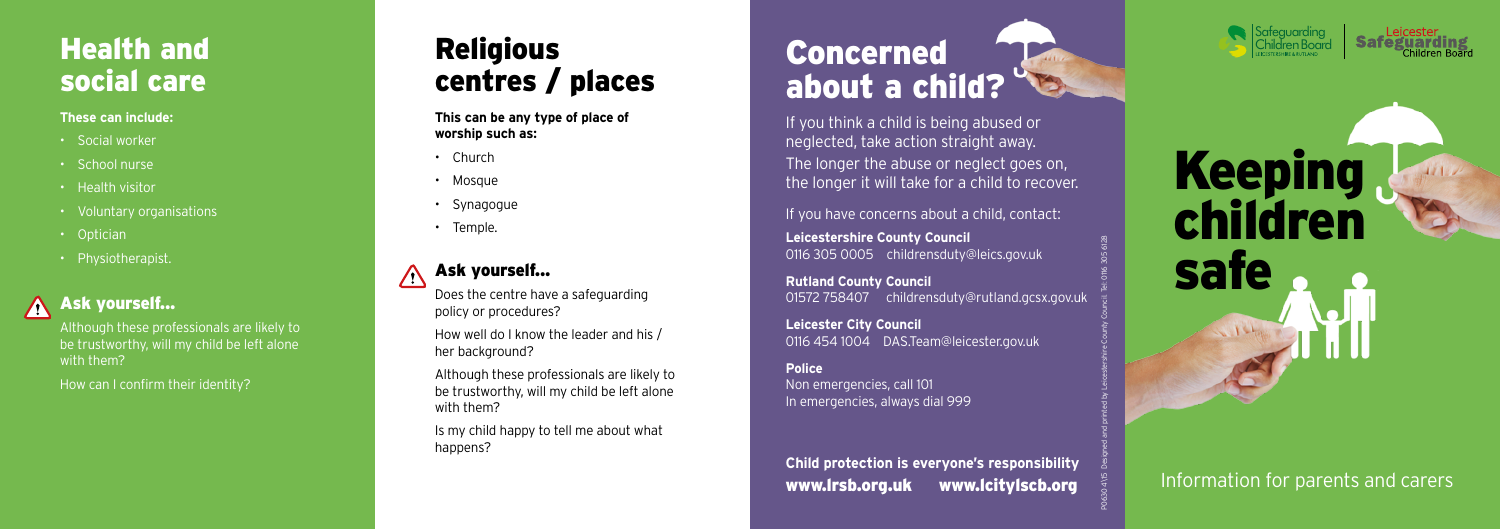If you think a child is being abused or neglected, take action straight away. The longer the abuse or neglect goes on, the longer it will take for a child to recover.

If you have concerns about a child, contact:

**Leicestershire County Council** 0116 305 0005 childrensduty@leics.gov.uk

**Rutland County Council** 01572 758407 childrensduty@rutland.gcsx.gov.uk

#### Ask yourself...  $\sqrt{N}$

**Leicester City Council** 0116 454 1004 DAS.Team@leicester.gov.uk

#### **Police**

#### Ask yourself...  $\bigwedge$

Non emergencies, call 101 In emergencies, always dial 999

## Religious centres / places

**This can be any type of place of worship such as:**

- Church
- Mosque
- Synagogue
- Temple.

## Health and social care

#### **These can include:**

# Keeping children safe  $15h$

- Social worker
- School nurse
- Health visitor
- Voluntary organisations
- Optician
- Physiotherapist.

Although these professionals are likely to be trustworthy, will my child be left alone with them?

How can I confirm their identity?

Does the centre have a safeguarding policy or procedures?

How well do I know the leader and his / her background?

Although these professionals are likely to be trustworthy, will my child be left alone with them?

Is my child happy to tell me about what happens?

# Concerned about a child?





Information for parents and carers

**Child protection is everyone's responsibility** www.lrsb.org.uk www.lcitylscb.org